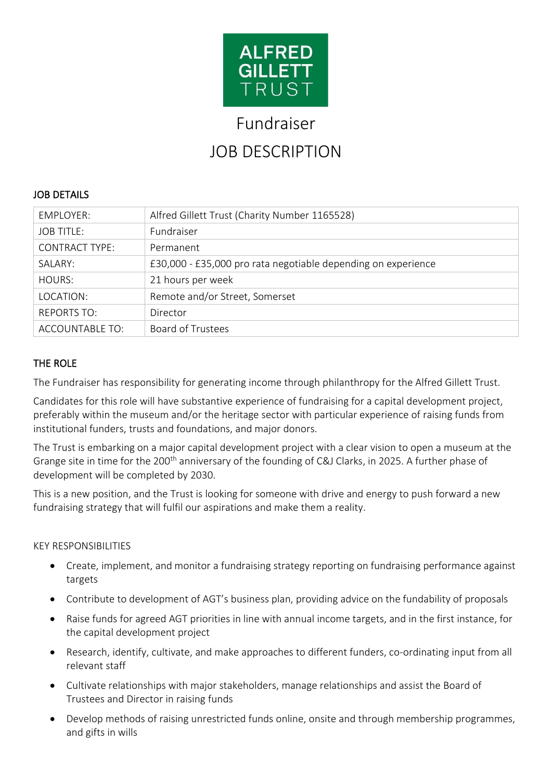

# Fundraiser

# JOB DESCRIPTION

### JOB DETAILS

| <b>EMPLOYER:</b>       | Alfred Gillett Trust (Charity Number 1165528)                 |
|------------------------|---------------------------------------------------------------|
| <b>JOB TITLE:</b>      | Fundraiser                                                    |
| <b>CONTRACT TYPE:</b>  | Permanent                                                     |
| SALARY:                | £30,000 - £35,000 pro rata negotiable depending on experience |
| HOURS:                 | 21 hours per week                                             |
| LOCATION:              | Remote and/or Street, Somerset                                |
| <b>REPORTS TO:</b>     | Director                                                      |
| <b>ACCOUNTABLE TO:</b> | <b>Board of Trustees</b>                                      |

### THE ROLE

The Fundraiser has responsibility for generating income through philanthropy for the Alfred Gillett Trust.

Candidates for this role will have substantive experience of fundraising for a capital development project, preferably within the museum and/or the heritage sector with particular experience of raising funds from institutional funders, trusts and foundations, and major donors.

The Trust is embarking on a major capital development project with a clear vision to open a museum at the Grange site in time for the 200<sup>th</sup> anniversary of the founding of C&J Clarks, in 2025. A further phase of development will be completed by 2030.

This is a new position, and the Trust is looking for someone with drive and energy to push forward a new fundraising strategy that will fulfil our aspirations and make them a reality.

### KEY RESPONSIBILITIES

- Create, implement, and monitor a fundraising strategy reporting on fundraising performance against targets
- Contribute to development of AGT's business plan, providing advice on the fundability of proposals
- Raise funds for agreed AGT priorities in line with annual income targets, and in the first instance, for the capital development project
- Research, identify, cultivate, and make approaches to different funders, co-ordinating input from all relevant staff
- Cultivate relationships with major stakeholders, manage relationships and assist the Board of Trustees and Director in raising funds
- Develop methods of raising unrestricted funds online, onsite and through membership programmes, and gifts in wills